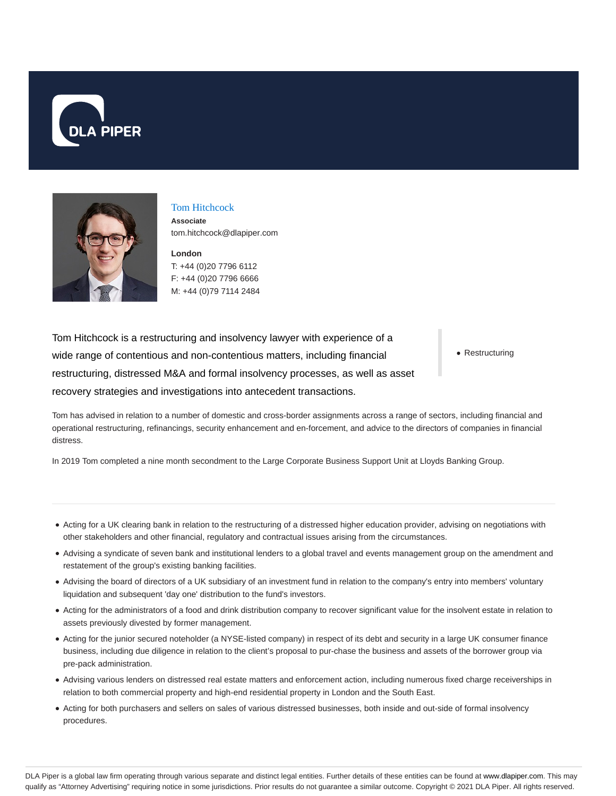



# Tom Hitchcock

**Associate** tom.hitchcock@dlapiper.com

**London** T: +44 (0)20 7796 6112 F: +44 (0)20 7796 6666 M: +44 (0)79 7114 2484

Tom Hitchcock is a restructuring and insolvency lawyer with experience of a wide range of contentious and non-contentious matters, including financial restructuring, distressed M&A and formal insolvency processes, as well as asset recovery strategies and investigations into antecedent transactions.

• Restructuring

Tom has advised in relation to a number of domestic and cross-border assignments across a range of sectors, including financial and operational restructuring, refinancings, security enhancement and en-forcement, and advice to the directors of companies in financial distress.

In 2019 Tom completed a nine month secondment to the Large Corporate Business Support Unit at Lloyds Banking Group.

- Acting for a UK clearing bank in relation to the restructuring of a distressed higher education provider, advising on negotiations with other stakeholders and other financial, regulatory and contractual issues arising from the circumstances.
- Advising a syndicate of seven bank and institutional lenders to a global travel and events management group on the amendment and restatement of the group's existing banking facilities.
- Advising the board of directors of a UK subsidiary of an investment fund in relation to the company's entry into members' voluntary liquidation and subsequent 'day one' distribution to the fund's investors.
- Acting for the administrators of a food and drink distribution company to recover significant value for the insolvent estate in relation to assets previously divested by former management.
- Acting for the junior secured noteholder (a NYSE-listed company) in respect of its debt and security in a large UK consumer finance business, including due diligence in relation to the client's proposal to pur-chase the business and assets of the borrower group via pre-pack administration.
- Advising various lenders on distressed real estate matters and enforcement action, including numerous fixed charge receiverships in relation to both commercial property and high-end residential property in London and the South East.
- Acting for both purchasers and sellers on sales of various distressed businesses, both inside and out-side of formal insolvency procedures.